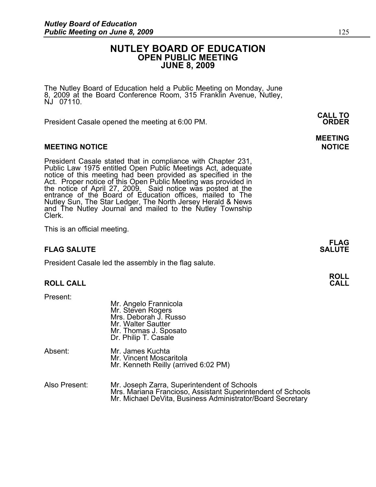### **NUTLEY BOARD OF EDUCATION OPEN PUBLIC MEETING JUNE 8, 2009**

The Nutley Board of Education held a Public Meeting on Monday, June 8, 2009 at the Board Conference Room, 315 Franklin Avenue, Nutley, NJ 07110.

 **CALL TO**  President Casale opened the meeting at 6:00 PM. **ORDER**

#### **MEETING NOTICE NOTICE REPORTS AND ALCOHOL**

President Casale stated that in compliance with Chapter 231, Public Law 1975 entitled Open Public Meetings Act, adequate notice of this meeting had been provided as specified in the Act. Proper notice of this Open Public Meeting was provided in the notice of April 27, 2009. Said notice was posted at the entrance of the Board of Education offices, mailed to The Nutley Sun, The Star Ledger, The North Jersey Herald & News and The Nutley Journal and mailed to the Nutley Township Clerk.

This is an official meeting.

#### **FLAG SALUTE** SALUTE SALUTE SALUTE SALUTE SALUTE SALUTE SALUTE SALUTE SALUTE SALUTE SALUTE SALUTE SALUTE SALUTE SALUTE

President Casale led the assembly in the flag salute.

#### **ROLL CALL**

Present:

|               | Mr. Angelo Frannicola<br>Mr. Steven Rogers<br>Mrs. Deborah J. Russo<br>Mr. Walter Sautter<br>Mr. Thomas J. Sposato<br>Dr. Philip T. Casale |
|---------------|--------------------------------------------------------------------------------------------------------------------------------------------|
| Absent:       | Mr. James Kuchta<br>Mr. Vincent Moscaritola<br>Mr. Kenneth Reilly (arrived 6:02 PM)                                                        |
| Also Present: | Mr. Joseph Zarra, Superintendent of Schools<br>Mrs. Mariana Francioso. Assistant Superintendent of Scl                                     |

Mrs. Mariana Francioso, Assistant Superintendent of Schools Mr. Michael DeVita, Business Administrator/Board Secretary

**FLAG** 

**ROLL** 

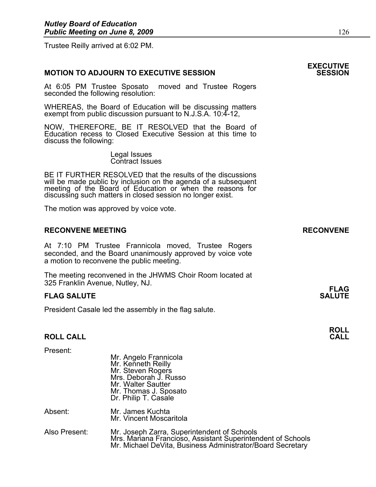Trustee Reilly arrived at 6:02 PM.

#### **MOTION TO ADJOURN TO EXECUTIVE SESSION**

At 6:05 PM Trustee Sposato moved and Trustee Rogers seconded the following resolution:

WHEREAS, the Board of Education will be discussing matters exempt from public discussion pursuant to N.J.S.A. 10:4-12,

NOW, THEREFORE, BE IT RESOLVED that the Board of Education recess to Closed Executive Session at this time to discuss the following:

> Legal Issues Contract Issues

BE IT FURTHER RESOLVED that the results of the discussions will be made public by inclusion on the agenda of a subsequent meeting of the Board of Education or when the reasons for discussing such matters in closed session no longer exist.

The motion was approved by voice vote.

#### **RECONVENE MEETING RECONVENE**

At 7:10 PM Trustee Frannicola moved, Trustee Rogers seconded, and the Board unanimously approved by voice vote a motion to reconvene the public meeting.

The meeting reconvened in the JHWMS Choir Room located at 325 Franklin Avenue, Nutley, NJ. **FLAG** 

#### **FLAG SALUTE SALUTE SALUTE**

President Casale led the assembly in the flag salute.

#### **ROLL CALL**

| Present:      | Mr. Angelo Frannicola<br>Mr. Kenneth Reilly<br>Mr. Steven Rogers<br>Mrs. Deborah J. Russo<br>Mr. Walter Sautter<br>Mr. Thomas J. Sposato<br>Dr. Philip T. Casale         |
|---------------|--------------------------------------------------------------------------------------------------------------------------------------------------------------------------|
| Absent:       | Mr. James Kuchta<br>Mr. Vincent Moscaritola                                                                                                                              |
| Also Present: | Mr. Joseph Zarra, Superintendent of Schools<br>Mrs. Mariana Francioso, Assistant Superintendent of Schools<br>Mr. Michael DeVita, Business Administrator/Board Secretary |

# **EXECUTIVE**

**ROLL**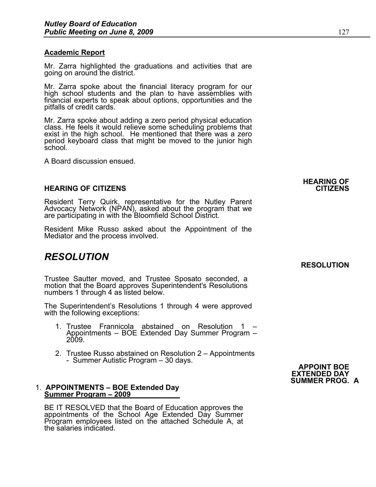#### **Academic Report**

Mr. Zarra highlighted the graduations and activities that are going on around the district.

Mr. Zarra spoke about the financial literacy program for our high school students and the plan to have assemblies with financial experts to speak about options, opportunities and the pitfalls of credit cards.

Mr. Zarra spoke about adding a zero period physical education class. He feels it would relieve some scheduling problems that exist in the high school. He mentioned that there was a zero period keyboard class that might be moved to the junior high school.

A Board discussion ensued.

#### **HEARING OF CITIZENS CITIZENS**

Resident Terry Quirk, representative for the Nutley Parent Advocacy Network (NPAN), asked about the program that we are participating in with the Bloomfield School District.

Resident Mike Russo asked about the Appointment of the Mediator and the process involved.

### *RESOLUTION*

Trustee Sautter moved, and Trustee Sposato seconded, a motion that the Board approves Superintendent's Resolutions numbers 1 through 4 as listed below.

The Superintendent's Resolutions 1 through 4 were approved with the following exceptions:

- 1. Trustee Frannicola abstained on Resolution 1 Appointments – BOE Extended Day Summer Program – 2009.
- 2. Trustee Russo abstained on Resolution 2 Appointments<br>- Summer Autistic Program 30 days.<br>**APPOINT BOE**

#### 1. **APPOINTMENTS – BOE Extended Day Summer Program – 2009**

BE IT RESOLVED that the Board of Education approves the appointments of the School Age Extended Day Summer Program employees listed on the attached Schedule A, at the salaries indicated.

# **EXTENDED DAY SUMMER PROG. A**

**HEARING OF** 

### **RESOLUTION**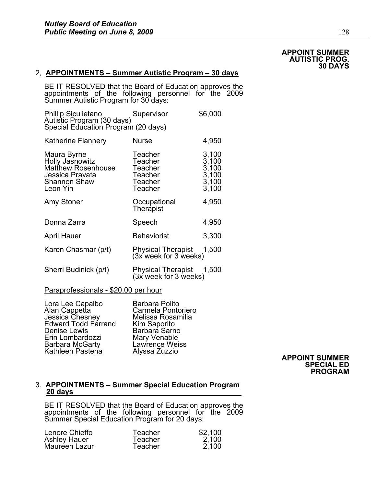#### **APPOINT SUMMER AUTISTIC PROG. 30 DAYS**

#### 2, **APPOINTMENTS – Summer Autistic Program – 30 days**

BE IT RESOLVED that the Board of Education approves the appointments of the following personnel for the 2009 Summer Autistic Program for 30 days:

| <b>Phillip Siculietano</b><br>Autistic Program (30 days)                                                   | Supervisor                                                     | \$6,000                                            |
|------------------------------------------------------------------------------------------------------------|----------------------------------------------------------------|----------------------------------------------------|
| Special Education Program (20 days)                                                                        |                                                                |                                                    |
| Katherine Flannery                                                                                         | <b>Nurse</b>                                                   | 4,950                                              |
| Maura Byrne<br>Holly Jasnowitz<br><b>Matthew Rosenhouse</b><br>Jessica Pravata<br>Shannon Shaw<br>Leon Yin | Teacher<br>Teacher<br>Teacher<br>Teacher<br>Teacher<br>Teacher | 3,100<br>3,100<br>3,100<br>3,100<br>3,100<br>3,100 |
| Amy Stoner                                                                                                 | Occupational<br><b>Therapist</b>                               | 4,950                                              |
| Donna Zarra                                                                                                | Speech                                                         | 4,950                                              |
| April Hauer                                                                                                | <b>Behaviorist</b>                                             | 3,300                                              |
| Karen Chasmar (p/t)                                                                                        | <b>Physical Therapist</b><br>(3x week for 3 weeks)             | 1,500                                              |
| Sherri Budinick (p/t)                                                                                      | Physical Therapist<br>(3x week for 3 weeks)                    | 1,500                                              |
|                                                                                                            |                                                                |                                                    |

#### Paraprofessionals - \$20.00 per hour

Lora Lee Capalbo Barbara Polito Carmela Pontoriero<br>Melissa Rosamilia Jessica Chesney Melissa Rosamilia Edward Todd Farrand Kim Saporito Denise Lewis Barbara Sarno<br>Erin Lombardozzi Mary Venable Erin Lombardozzi Mary Venable<br>Barbara McGarty Lawrence Weiss Barbara McGarty Lawrence Wei<br>Kathleen Pastena Alyssa Zuzzio

#### Kathleen Pastena Alyssa Zuzzio **APPOINT SUMMER SPECIAL ED PROGRAM**

#### 3. **APPOINTMENTS – Summer Special Education Program 20 days**

BE IT RESOLVED that the Board of Education approves the appointments of the following personnel for the 2009 Summer Special Education Program for 20 days:

| Lenore Chieffo      | Teacher | \$2,100 |
|---------------------|---------|---------|
| <b>Ashley Hauer</b> | Teacher | 2,100   |
| Mauréen Lazur       | Teacher | 2,100   |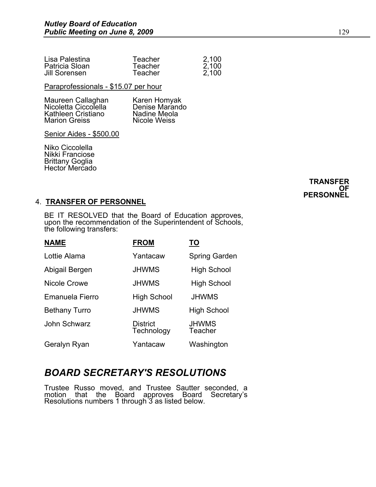| Lisa Palestina | Teacher | 2,100 |
|----------------|---------|-------|
| Patricia Sloan | Teacher | 2,100 |
| Jill Sorensen  | Teacher | 2.100 |

Paraprofessionals - \$15.07 per hour

| Maureen Callaghan    | Karen Homyak   |
|----------------------|----------------|
| Nicoletta Ciccolella | Denise Marando |
| Kathleen Cristiano   | Nadine Meola   |
| <b>Marion Greiss</b> | Nicole Weiss   |

Senior Aides - \$500.00

Niko Ciccolella Nikki Franciose Brittany Goglia Hector Mercado

#### **TRANSFER OF PERSONNEL**

#### 4. **TRANSFER OF PERSONNEL**

BE IT RESOLVED that the Board of Education approves, upon the recommendation of the Superintendent of Schools, the following transfers:

| <b>NAME</b>          | <b>FROM</b>                   | <u>TO</u>               |
|----------------------|-------------------------------|-------------------------|
| Lottie Alama         | Yantacaw                      | Spring Garden           |
| Abigail Bergen       | <b>JHWMS</b>                  | <b>High School</b>      |
| Nicole Crowe         | <b>JHWMS</b>                  | <b>High School</b>      |
| Emanuela Fierro      | <b>High School</b>            | <b>JHWMS</b>            |
| <b>Bethany Turro</b> | <b>JHWMS</b>                  | <b>High School</b>      |
| John Schwarz         | <b>District</b><br>Technology | <b>JHWMS</b><br>Teacher |
| Geralyn Ryan         | Yantacaw                      | Washington              |

## *BOARD SECRETARY'S RESOLUTIONS*

Trustee Russo moved, and Trustee Sautter seconded, a motion that the Board approves Board Secretary's Resolutions numbers 1 through 3 as listed below.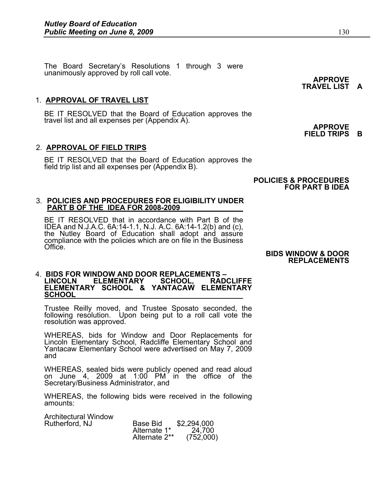The Board Secretary's Resolutions 1 through 3 were unanimously approved by roll call vote.<br> **APPROVE** 

#### 1. **APPROVAL OF TRAVEL LIST**

Ĭ. BE IT RESOLVED that the Board of Education approves the travel list and all expenses per (Appendix A). **APPROVE** 

#### 2. **APPROVAL OF FIELD TRIPS**

BE IT RESOLVED that the Board of Education approves the field trip list and all expenses per (Appendix B).

#### **POLICIES & PROCEDURES FOR PART B IDEA**

#### 3. **POLICIES AND PROCEDURES FOR ELIGIBILITY UNDER PART B OF THE IDEA FOR 2008-2009**

BE IT RESOLVED that in accordance with Part B of the IDEA and N.J.A.C. 6A:14-1.1, N.J. A.C. 6A:14-1.2(b) and (c), the Nutley Board of Education shall adopt and assure compliance with the policies which are on file in the Business Office.

**BIDS WINDOW & DOOR REPLACEMENTS** 

#### 4. **BIDS FOR WINDOW AND DOOR REPLACEMENTS – LEMENTARY ELEMENTARY SCHOOL & YANTACAW ELEMENTARY SCHOOL**

Ϊ Trustee Reilly moved, and Trustee Sposato seconded, the following resolution. Upon being put to a roll call vote the resolution was approved.

WHEREAS, bids for Window and Door Replacements for Lincoln Elementary School, Radcliffe Elementary School and Yantacaw Elementary School were advertised on May 7, 2009 and

 WHEREAS, sealed bids were publicly opened and read aloud on June 4, 2009 at 1:00 PM in the office of the Secretary/Business Administrator, and

WHEREAS, the following bids were received in the following amounts:

Architectural Window Rutherford, NJ Alternate 1<sup>\*</sup> 24,700

| Alchitectural Williuow |               |             |
|------------------------|---------------|-------------|
| Rutherford, NJ         | Base Bid      | \$2,294,000 |
|                        | Alternate 1*  | 24,700      |
|                        | Alternate 2** | (752,000)   |

**TRAVEL LIST A** 

**FIELD TRIPS B**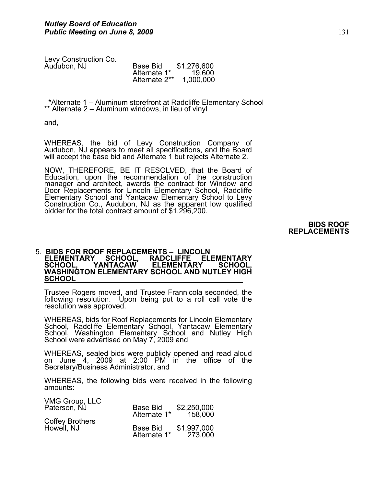Levy Construction Co. Audubon, NJ

| Auɗubon, NJ | Base Bid      | \$1,276,600 |
|-------------|---------------|-------------|
|             | Alternate 1*  | 19.600      |
|             | Alternate 2** | 1,000,000   |

 \*Alternate 1 – Aluminum storefront at Radcliffe Elementary School \*\* Alternate 2 – Aluminum windows, in lieu of vinyl

and,

WHEREAS, the bid of Levy Construction Company of Audubon, NJ appears to meet all specifications, and the Board will accept the base bid and Alternate 1 but rejects Alternate 2.

NOW, THEREFORE, BE IT RESOLVED, that the Board of Education, upon the recommendation of the construction manager and architect, awards the contract for Window and Door Replacements for Lincoln Elementary School, Radcliffe Elementary School and Yantacaw Elementary School to Levy Construction Co., Audubon, NJ as the apparent low qualified bidder for the total contract amount of \$1,296,200.

> **BIDS ROOF REPLACEMENTS**

#### 5. **BIDS FOR ROOF REPLACEMENTS – LINCOLN ELEMENTARY SCHOOL, RADCLIFFE ELEMENTARY ELEMENTARY WASHINGTON ELEMENTARY SCHOOL AND NUTLEY HIGH SCHOOL**

Trustee Rogers moved, and Trustee Frannicola seconded, the following resolution. Upon being put to a roll call vote the resolution was approved.

WHEREAS, bids for Roof Replacements for Lincoln Elementary School, Radcliffe Elementary School, Yantacaw Elementary School, Washington Elementary School and Nutley High School were advertised on May 7, 2009 and

WHEREAS, sealed bids were publicly opened and read aloud on June 4, 2009 at 2:00 PM in the office of the Secretary/Business Administrator, and

WHEREAS, the following bids were received in the following amounts:

| VMG Group, LLC<br>Paterson, NJ | <b>Base Bid</b><br>Alternate 1* | \$2,250,000<br>158,000 |
|--------------------------------|---------------------------------|------------------------|
| Coffey Brothers<br>Howell, NJ  |                                 |                        |
|                                | <b>Base Bid</b><br>Alternate 1* | \$1,997,000<br>273,000 |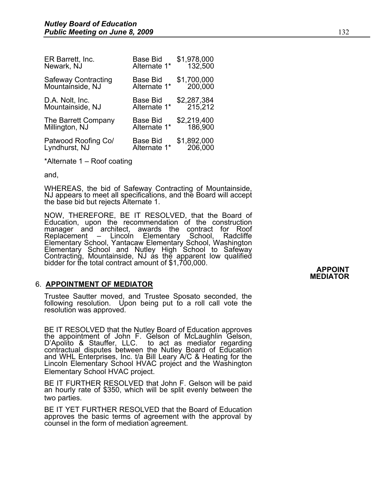| <b>Base Bid</b> | \$1,978,000 |
|-----------------|-------------|
| Alternate 1*    | 132,500     |
| Base Bid        | \$1,700,000 |
| Alternate 1*    | 200,000     |
| <b>Base Bid</b> | \$2,287,384 |
| Alternate 1*    | 215,212     |
| <b>Base Bid</b> | \$2,219,400 |
| Alternate 1*    | 186,900     |
| Base Bid        | \$1,892,000 |
| Alternate 1*    | 206,000     |
|                 |             |

\*Alternate 1 – Roof coating

and,

WHEREAS, the bid of Safeway Contracting of Mountainside, NJ appears to meet all specifications, and the Board will accept the base bid but rejects Alternate 1.

NOW, THEREFORE, BE IT RESOLVED, that the Board of Education, upon the recommendation of the construction manager and architect, awards the contract for Roof Replacement – Lincoln Elementary School, Radcliffe Elementary School, Yantacaw Elementary School, Washington Elementary School and Nutley High School to Safeway Contracting, Mountainside, NJ as the apparent low qualified bidder for the total contract amount of \$1,700,000.

#### 6. **APPOINTMENT OF MEDIATOR**

Trustee Sautter moved, and Trustee Sposato seconded, the following resolution. Upon being put to a roll call vote the resolution was approved.

BE IT RESOLVED that the Nutley Board of Education approves the appointment of John F. Gelson of McLaughlin Gelson, D'Apolito & Stauffer, LLC. to act as mediator regarding contractual disputes between the Nutley Board of Education and WHL Enterprises, Inc. t/a Bill Leary A/C & Heating for the Lincoln Elementary School HVAC project and the Washington Elementary School HVAC project.

BE IT FURTHER RESOLVED that John F. Gelson will be paid an hourly rate of \$350, which will be split evenly between the two parties.

BE IT YET FURTHER RESOLVED that the Board of Education approves the basic terms of agreement with the approval by counsel in the form of mediation agreement.

**APPOINT MEDIATOR**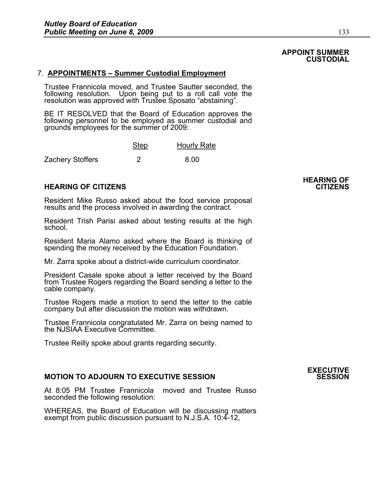#### **APPOINT SUMMER CUSTODIAL**

#### 7. **APPOINTMENTS – Summer Custodial Employment**

Trustee Frannicola moved, and Trustee Sautter seconded, the following resolution. Upon being put to a roll call vote the resolution was approved with Trustee Sposato "abstaining".

BE IT RESOLVED that the Board of Education approves the following personnel to be employed as summer custodial and grounds employees for the summer of 2009:

|                  | Step | <b>Hourly Rate</b> |
|------------------|------|--------------------|
| Zachery Stoffers |      | 8.00               |

#### **HEARING OF CITIZENS CITIZENS**

Resident Mike Russo asked about the food service proposal results and the process involved in awarding the contract.

Resident Trish Parisi asked about testing results at the high school.

Resident Maria Alamo asked where the Board is thinking of spending the money received by the Education Foundation.

Mr. Zarra spoke about a district-wide curriculum coordinator.

President Casale spoke about a letter received by the Board from Trustee Rogers regarding the Board sending a letter to the cable company.

Trustee Rogers made a motion to send the letter to the cable company but after discussion the motion was withdrawn.

Trustee Frannicola congratulated Mr. Zarra on being named to the NJSIAA Executive Committee.

Trustee Reilly spoke about grants regarding security.

#### **MOTION TO ADJOURN TO EXECUTIVE SESSION**

At 8:05 PM Trustee Frannicola moved and Trustee Russo seconded the following resolution:

WHEREAS, the Board of Education will be discussing matters exempt from public discussion pursuant to N.J.S.A. 10:4-12,

# **HEARING OF**

# **EXECUTIVE**